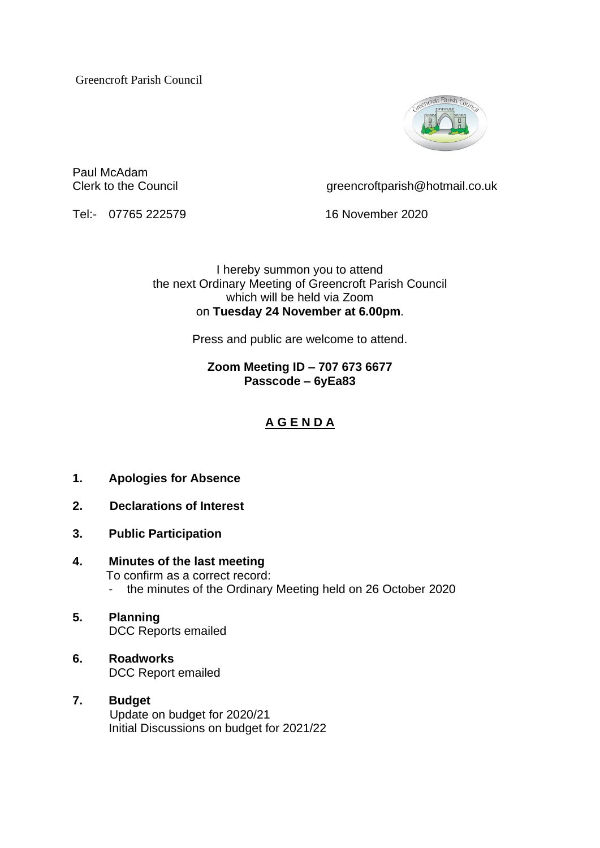Greencroft Parish Council



Paul McAdam

Clerk to the Council comparish  $\oslash$  creencroftparish  $\oslash$  hotmail.co.uk

Tel:- 07765 222579 16 November 2020

I hereby summon you to attend the next Ordinary Meeting of Greencroft Parish Council which will be held via Zoom on **Tuesday 24 November at 6.00pm**.

Press and public are welcome to attend.

## **Zoom Meeting ID – 707 673 6677 Passcode – 6yEa83**

# **A G E N D A**

- **1. Apologies for Absence**
- **2. Declarations of Interest**
- **3. Public Participation**
- **4. Minutes of the last meeting** To confirm as a correct record: - the minutes of the Ordinary Meeting held on 26 October 2020
- **5. Planning** DCC Reports emailed
- **6. Roadworks** DCC Report emailed

### **7. Budget** Update on budget for 2020/21 Initial Discussions on budget for 2021/22